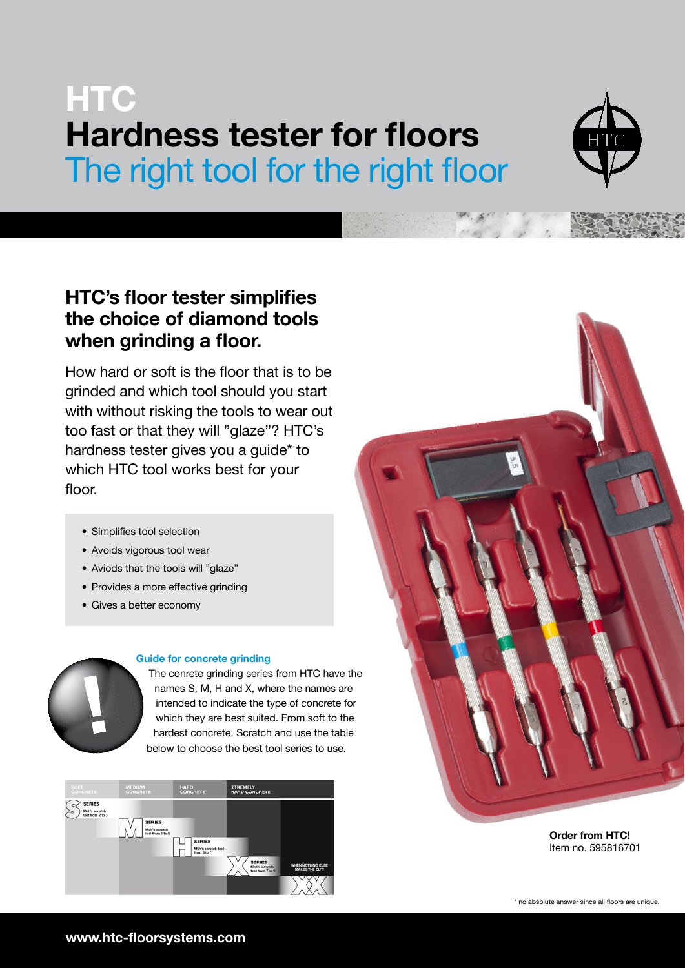# **HTC** Hardness tester for floors The right tool for the right floor



### HTC's floor tester simplifies the choice of diamond tools when grinding a floor.

How hard or soft is the floor that is to be grinded and which tool should you start with without risking the tools to wear out too fast or that they will "glaze"? HTC's hardness tester gives you a guide\* to which HTC tool works best for your floor.

- Simplifies tool selection
- Avoids vigorous tool wear
- Aviods that the tools will "glaze"
- Provides a more effective grinding
- Gives a better economy



#### Guide for concrete grinding

The conrete grinding series from HTC have the names S, M, H and X, where the names are intended to indicate the type of concrete for which they are best suited. From soft to the hardest concrete. Scratch and use the table below to choose the best tool series to use.



Order from HTC! Item no. 595816701